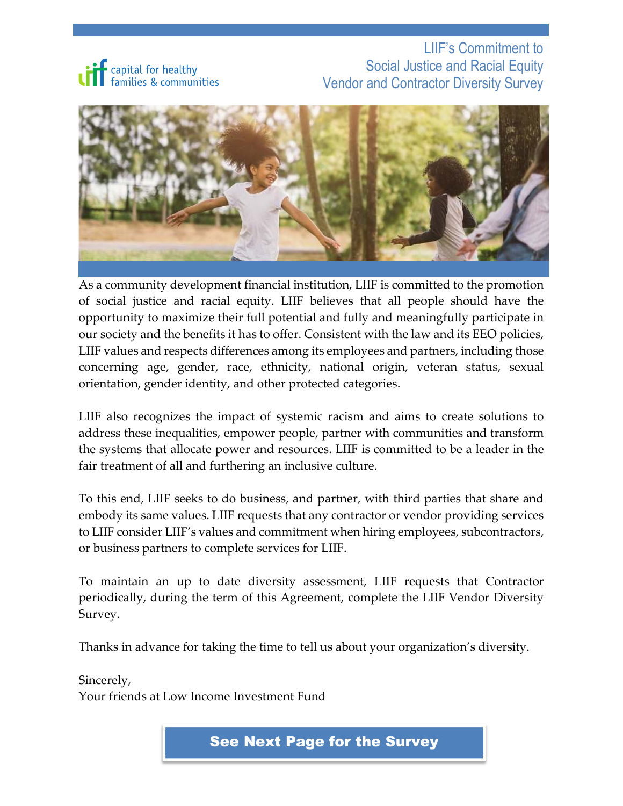

LIIF's Commitment to Social Justice and Racial Equity Vendor and Contractor Diversity Survey



As a community development financial institution, LIIF is committed to the promotion of social justice and racial equity. LIIF believes that all people should have the opportunity to maximize their full potential and fully and meaningfully participate in our society and the benefits it has to offer. Consistent with the law and its EEO policies, LIIF values and respects differences among its employees and partners, including those concerning age, gender, race, ethnicity, national origin, veteran status, sexual orientation, gender identity, and other protected categories.

LIIF also recognizes the impact of systemic racism and aims to create solutions to address these inequalities, empower people, partner with communities and transform the systems that allocate power and resources. LIIF is committed to be a leader in the fair treatment of all and furthering an inclusive culture.

To this end, LIIF seeks to do business, and partner, with third parties that share and embody its same values. LIIF requests that any contractor or vendor providing services to LIIF consider LIIF's values and commitment when hiring employees, subcontractors, or business partners to complete services for LIIF.

To maintain an up to date diversity assessment, LIIF requests that Contractor periodically, during the term of this Agreement, complete the LIIF Vendor Diversity Survey.

Thanks in advance for taking the time to tell us about your organization's diversity.

Sincerely, Your friends at Low Income Investment Fund

See Next Page for the Survey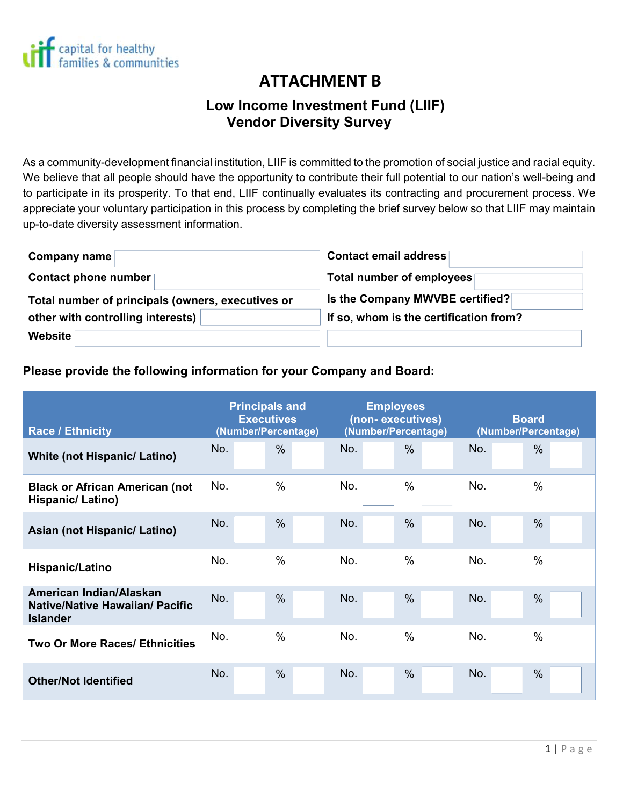

# **Attachment B ATTACHMENT B**

## **Low Low Income Investment Fund (LIIF) Vendor Diversity Survey**

As a community-development financial institution, LIIF is committed to the promotion of social justice and racial equity. We believe that all people should have the opportunity to contribute their full potential to our nation's well-being and to participate in its prosperity. To that end, LIIF continually evaluates its contracting and procurement process. We appreciate your voluntary participation in this process by completing the brief survey below so that LIIF may maintain up-to-date diversity assessment information.

| Company name                                      | <b>Contact email address</b>           |  |  |  |  |
|---------------------------------------------------|----------------------------------------|--|--|--|--|
| Contact phone number                              | Total number of employees              |  |  |  |  |
| Total number of principals (owners, executives or | Is the Company MWVBE certified?        |  |  |  |  |
| other with controlling interests)                 | If so, whom is the certification from? |  |  |  |  |
| Website                                           |                                        |  |  |  |  |

#### **Please provide the following information for your Company and Board:**

| <b>Race / Ethnicity</b>                                                              | <b>Principals and</b><br><b>Executives</b><br>(Number/Percentage) |               |     | <b>Employees</b><br>(non-executives)<br>(Number/Percentage) |     | <b>Board</b><br>(Number/Percentage) |  |  |
|--------------------------------------------------------------------------------------|-------------------------------------------------------------------|---------------|-----|-------------------------------------------------------------|-----|-------------------------------------|--|--|
| <b>White (not Hispanic/ Latino)</b>                                                  | No.                                                               | $\frac{0}{0}$ | No. | $\frac{0}{0}$                                               | No. | $\frac{0}{0}$                       |  |  |
| <b>Black or African American (not</b><br>Hispanic/Latino)                            | No.                                                               | $\frac{0}{0}$ | No. | $\%$                                                        | No. | $\frac{0}{0}$                       |  |  |
| Asian (not Hispanic/ Latino)                                                         | No.                                                               | $\frac{0}{0}$ | No. | $\frac{0}{0}$                                               | No. | $\frac{0}{0}$                       |  |  |
| Hispanic/Latino                                                                      | No.                                                               | $\frac{0}{0}$ | No. | $\frac{0}{0}$                                               | No. | $\frac{0}{0}$                       |  |  |
| American Indian/Alaskan<br><b>Native/Native Hawaiian/ Pacific</b><br><b>Islander</b> | No.                                                               | $\frac{0}{0}$ | No. | $\frac{0}{0}$                                               | No. | $\frac{0}{0}$                       |  |  |
| <b>Two Or More Races/ Ethnicities</b>                                                | No.                                                               | $\frac{0}{0}$ | No. | $\%$                                                        | No. | $\frac{0}{0}$                       |  |  |
| <b>Other/Not Identified</b>                                                          | No.                                                               | $\frac{0}{0}$ | No. | $\frac{0}{0}$                                               | No. | $\frac{0}{0}$                       |  |  |